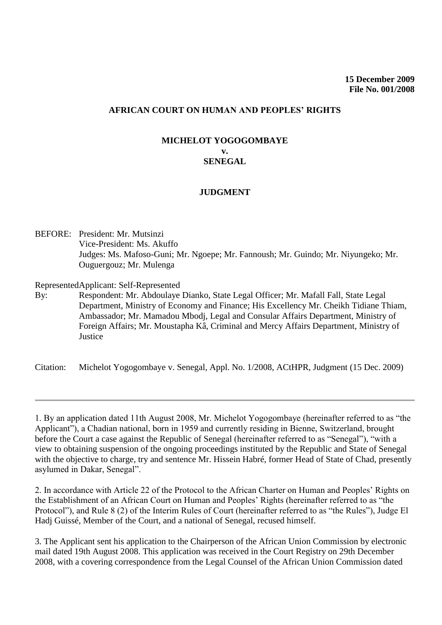## **AFRICAN COURT ON HUMAN AND PEOPLES' RIGHTS**

## **MICHELOT YOGOGOMBAYE v. SENEGAL**

## **JUDGMENT**

BEFORE: President: Mr. Mutsinzi Vice-President: Ms. Akuffo Judges: Ms. Mafoso-Guni; Mr. Ngoepe; Mr. Fannoush; Mr. Guindo; Mr. Niyungeko; Mr. Ouguergouz; Mr. Mulenga

Represented Applicant: Self-Represented

By: Respondent: Mr. Abdoulaye Dianko, State Legal Officer; Mr. Mafall Fall, State Legal Department, Ministry of Economy and Finance; His Excellency Mr. Cheikh Tidiane Thiam, Ambassador; Mr. Mamadou Mbodj, Legal and Consular Affairs Department, Ministry of Foreign Affairs; Mr. Moustapha Kâ, Criminal and Mercy Affairs Department, Ministry of Justice

Citation: Michelot Yogogombaye v. Senegal, Appl. No. 1/2008, ACtHPR, Judgment (15 Dec. 2009)

1. By an application dated 11th August 2008, Mr. Michelot Yogogombaye (hereinafter referred to as "the Applicant"), a Chadian national, born in 1959 and currently residing in Bienne, Switzerland, brought before the Court a case against the Republic of Senegal (hereinafter referred to as "Senegal"), "with a view to obtaining suspension of the ongoing proceedings instituted by the Republic and State of Senegal with the objective to charge, try and sentence Mr. Hissein Habré, former Head of State of Chad, presently asylumed in Dakar, Senegal".

2. In accordance with Article 22 of the Protocol to the African Charter on Human and Peoples' Rights on the Establishment of an African Court on Human and Peoples' Rights (hereinafter referred to as "the Protocol"), and Rule 8 (2) of the Interim Rules of Court (hereinafter referred to as "the Rules"), Judge El Hadj Guissé, Member of the Court, and a national of Senegal, recused himself.

3. The Applicant sent his application to the Chairperson of the African Union Commission by electronic mail dated 19th August 2008. This application was received in the Court Registry on 29th December 2008, with a covering correspondence from the Legal Counsel of the African Union Commission dated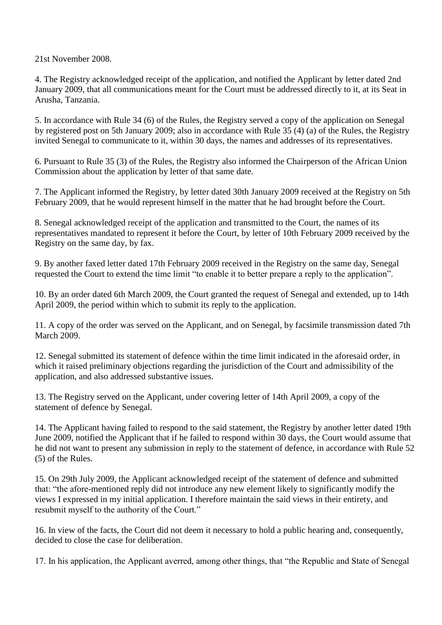21st November 2008.

4. The Registry acknowledged receipt of the application, and notified the Applicant by letter dated 2nd January 2009, that all communications meant for the Court must be addressed directly to it, at its Seat in Arusha, Tanzania.

5. In accordance with Rule 34 (6) of the Rules, the Registry served a copy of the application on Senegal by registered post on 5th January 2009; also in accordance with Rule 35 (4) (a) of the Rules, the Registry invited Senegal to communicate to it, within 30 days, the names and addresses of its representatives.

6. Pursuant to Rule 35 (3) of the Rules, the Registry also informed the Chairperson of the African Union Commission about the application by letter of that same date.

7. The Applicant informed the Registry, by letter dated 30th January 2009 received at the Registry on 5th February 2009, that he would represent himself in the matter that he had brought before the Court.

8. Senegal acknowledged receipt of the application and transmitted to the Court, the names of its representatives mandated to represent it before the Court, by letter of 10th February 2009 received by the Registry on the same day, by fax.

9. By another faxed letter dated 17th February 2009 received in the Registry on the same day, Senegal requested the Court to extend the time limit "to enable it to better prepare a reply to the application".

10. By an order dated 6th March 2009, the Court granted the request of Senegal and extended, up to 14th April 2009, the period within which to submit its reply to the application.

11. A copy of the order was served on the Applicant, and on Senegal, by facsimile transmission dated 7th March 2009.

12. Senegal submitted its statement of defence within the time limit indicated in the aforesaid order, in which it raised preliminary objections regarding the jurisdiction of the Court and admissibility of the application, and also addressed substantive issues.

13. The Registry served on the Applicant, under covering letter of 14th April 2009, a copy of the statement of defence by Senegal.

14. The Applicant having failed to respond to the said statement, the Registry by another letter dated 19th June 2009, notified the Applicant that if he failed to respond within 30 days, the Court would assume that he did not want to present any submission in reply to the statement of defence, in accordance with Rule 52 (5) of the Rules.

15. On 29th July 2009, the Applicant acknowledged receipt of the statement of defence and submitted that: "the afore-mentioned reply did not introduce any new element likely to significantly modify the views I expressed in my initial application. I therefore maintain the said views in their entirety, and resubmit myself to the authority of the Court."

16. In view of the facts, the Court did not deem it necessary to hold a public hearing and, consequently, decided to close the case for deliberation.

17. In his application, the Applicant averred, among other things, that "the Republic and State of Senegal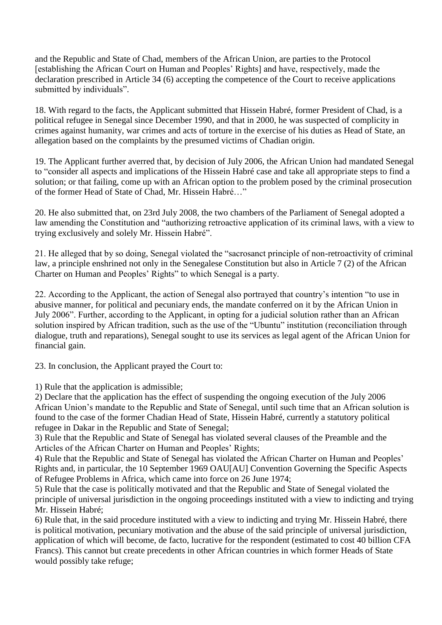and the Republic and State of Chad, members of the African Union, are parties to the Protocol [establishing the African Court on Human and Peoples' Rights] and have, respectively, made the declaration prescribed in Article 34 (6) accepting the competence of the Court to receive applications submitted by individuals".

18. With regard to the facts, the Applicant submitted that Hissein Habré, former President of Chad, is a political refugee in Senegal since December 1990, and that in 2000, he was suspected of complicity in crimes against humanity, war crimes and acts of torture in the exercise of his duties as Head of State, an allegation based on the complaints by the presumed victims of Chadian origin.

19. The Applicant further averred that, by decision of July 2006, the African Union had mandated Senegal to "consider all aspects and implications of the Hissein Habré case and take all appropriate steps to find a solution; or that failing, come up with an African option to the problem posed by the criminal prosecution of the former Head of State of Chad, Mr. Hissein Habré…"

20. He also submitted that, on 23rd July 2008, the two chambers of the Parliament of Senegal adopted a law amending the Constitution and "authorizing retroactive application of its criminal laws, with a view to trying exclusively and solely Mr. Hissein Habré".

21. He alleged that by so doing, Senegal violated the "sacrosanct principle of non-retroactivity of criminal law, a principle enshrined not only in the Senegalese Constitution but also in Article 7 (2) of the African Charter on Human and Peoples' Rights" to which Senegal is a party.

22. According to the Applicant, the action of Senegal also portrayed that country's intention "to use in abusive manner, for political and pecuniary ends, the mandate conferred on it by the African Union in July 2006". Further, according to the Applicant, in opting for a judicial solution rather than an African solution inspired by African tradition, such as the use of the "Ubuntu" institution (reconciliation through dialogue, truth and reparations), Senegal sought to use its services as legal agent of the African Union for financial gain.

23. In conclusion, the Applicant prayed the Court to:

1) Rule that the application is admissible;

2) Declare that the application has the effect of suspending the ongoing execution of the July 2006 African Union's mandate to the Republic and State of Senegal, until such time that an African solution is found to the case of the former Chadian Head of State, Hissein Habré, currently a statutory political refugee in Dakar in the Republic and State of Senegal;

3) Rule that the Republic and State of Senegal has violated several clauses of the Preamble and the Articles of the African Charter on Human and Peoples' Rights;

4) Rule that the Republic and State of Senegal has violated the African Charter on Human and Peoples' Rights and, in particular, the 10 September 1969 OAU[AU] Convention Governing the Specific Aspects of Refugee Problems in Africa, which came into force on 26 June 1974;

5) Rule that the case is politically motivated and that the Republic and State of Senegal violated the principle of universal jurisdiction in the ongoing proceedings instituted with a view to indicting and trying Mr. Hissein Habré;

6) Rule that, in the said procedure instituted with a view to indicting and trying Mr. Hissein Habré, there is political motivation, pecuniary motivation and the abuse of the said principle of universal jurisdiction, application of which will become, de facto, lucrative for the respondent (estimated to cost 40 billion CFA Francs). This cannot but create precedents in other African countries in which former Heads of State would possibly take refuge;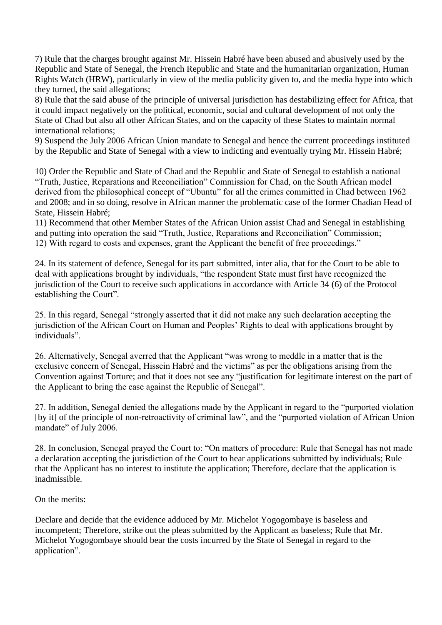7) Rule that the charges brought against Mr. Hissein Habré have been abused and abusively used by the Republic and State of Senegal, the French Republic and State and the humanitarian organization, Human Rights Watch (HRW), particularly in view of the media publicity given to, and the media hype into which they turned, the said allegations;

8) Rule that the said abuse of the principle of universal jurisdiction has destabilizing effect for Africa, that it could impact negatively on the political, economic, social and cultural development of not only the State of Chad but also all other African States, and on the capacity of these States to maintain normal international relations;

9) Suspend the July 2006 African Union mandate to Senegal and hence the current proceedings instituted by the Republic and State of Senegal with a view to indicting and eventually trying Mr. Hissein Habré;

10) Order the Republic and State of Chad and the Republic and State of Senegal to establish a national "Truth, Justice, Reparations and Reconciliation" Commission for Chad, on the South African model derived from the philosophical concept of "Ubuntu" for all the crimes committed in Chad between 1962 and 2008; and in so doing, resolve in African manner the problematic case of the former Chadian Head of State, Hissein Habré;

11) Recommend that other Member States of the African Union assist Chad and Senegal in establishing and putting into operation the said "Truth, Justice, Reparations and Reconciliation" Commission; 12) With regard to costs and expenses, grant the Applicant the benefit of free proceedings."

24. In its statement of defence, Senegal for its part submitted, inter alia, that for the Court to be able to deal with applications brought by individuals, "the respondent State must first have recognized the jurisdiction of the Court to receive such applications in accordance with Article 34 (6) of the Protocol establishing the Court".

25. In this regard, Senegal "strongly asserted that it did not make any such declaration accepting the jurisdiction of the African Court on Human and Peoples' Rights to deal with applications brought by individuals".

26. Alternatively, Senegal averred that the Applicant "was wrong to meddle in a matter that is the exclusive concern of Senegal, Hissein Habré and the victims" as per the obligations arising from the Convention against Torture; and that it does not see any "justification for legitimate interest on the part of the Applicant to bring the case against the Republic of Senegal".

27. In addition, Senegal denied the allegations made by the Applicant in regard to the "purported violation [by it] of the principle of non-retroactivity of criminal law", and the "purported violation of African Union mandate" of July 2006.

28. In conclusion, Senegal prayed the Court to: "On matters of procedure: Rule that Senegal has not made a declaration accepting the jurisdiction of the Court to hear applications submitted by individuals; Rule that the Applicant has no interest to institute the application; Therefore, declare that the application is inadmissible.

On the merits:

Declare and decide that the evidence adduced by Mr. Michelot Yogogombaye is baseless and incompetent; Therefore, strike out the pleas submitted by the Applicant as baseless; Rule that Mr. Michelot Yogogombaye should bear the costs incurred by the State of Senegal in regard to the application".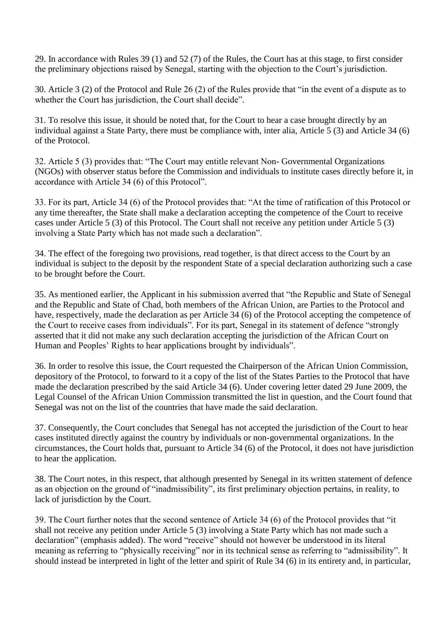29. In accordance with Rules 39 (1) and 52 (7) of the Rules, the Court has at this stage, to first consider the preliminary objections raised by Senegal, starting with the objection to the Court's jurisdiction.

30. Article 3 (2) of the Protocol and Rule 26 (2) of the Rules provide that "in the event of a dispute as to whether the Court has jurisdiction, the Court shall decide".

31. To resolve this issue, it should be noted that, for the Court to hear a case brought directly by an individual against a State Party, there must be compliance with, inter alia, Article 5 (3) and Article 34 (6) of the Protocol.

32. Article 5 (3) provides that: "The Court may entitle relevant Non- Governmental Organizations (NGOs) with observer status before the Commission and individuals to institute cases directly before it, in accordance with Article 34 (6) of this Protocol".

33. For its part, Article 34 (6) of the Protocol provides that: "At the time of ratification of this Protocol or any time thereafter, the State shall make a declaration accepting the competence of the Court to receive cases under Article 5 (3) of this Protocol. The Court shall not receive any petition under Article 5 (3) involving a State Party which has not made such a declaration".

34. The effect of the foregoing two provisions, read together, is that direct access to the Court by an individual is subject to the deposit by the respondent State of a special declaration authorizing such a case to be brought before the Court.

35. As mentioned earlier, the Applicant in his submission averred that "the Republic and State of Senegal and the Republic and State of Chad, both members of the African Union, are Parties to the Protocol and have, respectively, made the declaration as per Article 34 (6) of the Protocol accepting the competence of the Court to receive cases from individuals". For its part, Senegal in its statement of defence "strongly asserted that it did not make any such declaration accepting the jurisdiction of the African Court on Human and Peoples' Rights to hear applications brought by individuals".

36. In order to resolve this issue, the Court requested the Chairperson of the African Union Commission, depository of the Protocol, to forward to it a copy of the list of the States Parties to the Protocol that have made the declaration prescribed by the said Article 34 (6). Under covering letter dated 29 June 2009, the Legal Counsel of the African Union Commission transmitted the list in question, and the Court found that Senegal was not on the list of the countries that have made the said declaration.

37. Consequently, the Court concludes that Senegal has not accepted the jurisdiction of the Court to hear cases instituted directly against the country by individuals or non-governmental organizations. In the circumstances, the Court holds that, pursuant to Article 34 (6) of the Protocol, it does not have jurisdiction to hear the application.

38. The Court notes, in this respect, that although presented by Senegal in its written statement of defence as an objection on the ground of "inadmissibility", its first preliminary objection pertains, in reality, to lack of jurisdiction by the Court.

39. The Court further notes that the second sentence of Article 34 (6) of the Protocol provides that "it shall not receive any petition under Article 5 (3) involving a State Party which has not made such a declaration" (emphasis added). The word "receive" should not however be understood in its literal meaning as referring to "physically receiving" nor in its technical sense as referring to "admissibility". It should instead be interpreted in light of the letter and spirit of Rule 34 (6) in its entirety and, in particular,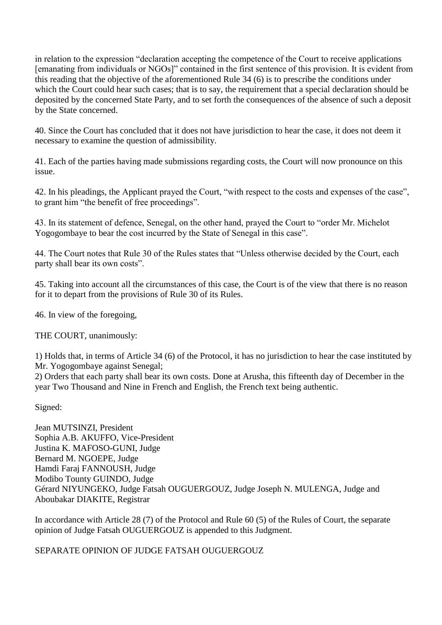in relation to the expression "declaration accepting the competence of the Court to receive applications [emanating from individuals or NGOs]" contained in the first sentence of this provision. It is evident from this reading that the objective of the aforementioned Rule 34 (6) is to prescribe the conditions under which the Court could hear such cases; that is to say, the requirement that a special declaration should be deposited by the concerned State Party, and to set forth the consequences of the absence of such a deposit by the State concerned.

40. Since the Court has concluded that it does not have jurisdiction to hear the case, it does not deem it necessary to examine the question of admissibility.

41. Each of the parties having made submissions regarding costs, the Court will now pronounce on this issue.

42. In his pleadings, the Applicant prayed the Court, "with respect to the costs and expenses of the case", to grant him "the benefit of free proceedings".

43. In its statement of defence, Senegal, on the other hand, prayed the Court to "order Mr. Michelot Yogogombaye to bear the cost incurred by the State of Senegal in this case".

44. The Court notes that Rule 30 of the Rules states that "Unless otherwise decided by the Court, each party shall bear its own costs".

45. Taking into account all the circumstances of this case, the Court is of the view that there is no reason for it to depart from the provisions of Rule 30 of its Rules.

46. In view of the foregoing,

THE COURT, unanimously:

1) Holds that, in terms of Article 34 (6) of the Protocol, it has no jurisdiction to hear the case instituted by Mr. Yogogombaye against Senegal;

2) Orders that each party shall bear its own costs. Done at Arusha, this fifteenth day of December in the year Two Thousand and Nine in French and English, the French text being authentic.

Signed:

Jean MUTSINZI, President Sophia A.B. AKUFFO, Vice-President Justina K. MAFOSO-GUNI, Judge Bernard M. NGOEPE, Judge Hamdi Faraj FANNOUSH, Judge Modibo Tounty GUINDO, Judge Gérard NIYUNGEKO, Judge Fatsah OUGUERGOUZ, Judge Joseph N. MULENGA, Judge and Aboubakar DIAKITE, Registrar

In accordance with Article 28 (7) of the Protocol and Rule 60 (5) of the Rules of Court, the separate opinion of Judge Fatsah OUGUERGOUZ is appended to this Judgment.

SEPARATE OPINION OF JUDGE FATSAH OUGUERGOUZ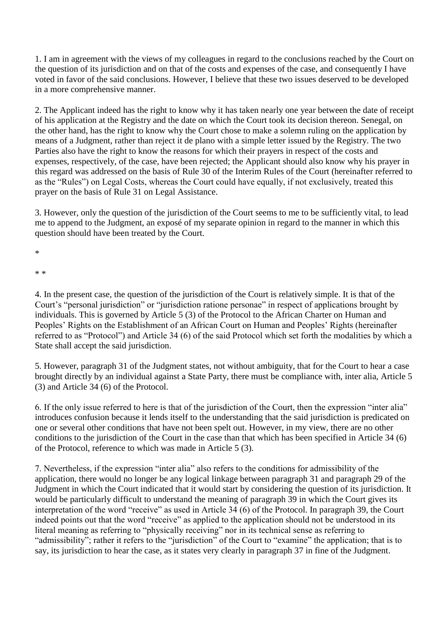1. I am in agreement with the views of my colleagues in regard to the conclusions reached by the Court on the question of its jurisdiction and on that of the costs and expenses of the case, and consequently I have voted in favor of the said conclusions. However, I believe that these two issues deserved to be developed in a more comprehensive manner.

2. The Applicant indeed has the right to know why it has taken nearly one year between the date of receipt of his application at the Registry and the date on which the Court took its decision thereon. Senegal, on the other hand, has the right to know why the Court chose to make a solemn ruling on the application by means of a Judgment, rather than reject it de plano with a simple letter issued by the Registry. The two Parties also have the right to know the reasons for which their prayers in respect of the costs and expenses, respectively, of the case, have been rejected; the Applicant should also know why his prayer in this regard was addressed on the basis of Rule 30 of the Interim Rules of the Court (hereinafter referred to as the "Rules") on Legal Costs, whereas the Court could have equally, if not exclusively, treated this prayer on the basis of Rule 31 on Legal Assistance.

3. However, only the question of the jurisdiction of the Court seems to me to be sufficiently vital, to lead me to append to the Judgment, an exposé of my separate opinion in regard to the manner in which this question should have been treated by the Court.

\*

\* \*

4. In the present case, the question of the jurisdiction of the Court is relatively simple. It is that of the Court's "personal jurisdiction" or "jurisdiction ratione personae" in respect of applications brought by individuals. This is governed by Article 5 (3) of the Protocol to the African Charter on Human and Peoples' Rights on the Establishment of an African Court on Human and Peoples' Rights (hereinafter referred to as "Protocol") and Article 34 (6) of the said Protocol which set forth the modalities by which a State shall accept the said jurisdiction.

5. However, paragraph 31 of the Judgment states, not without ambiguity, that for the Court to hear a case brought directly by an individual against a State Party, there must be compliance with, inter alia, Article 5 (3) and Article 34 (6) of the Protocol.

6. If the only issue referred to here is that of the jurisdiction of the Court, then the expression "inter alia" introduces confusion because it lends itself to the understanding that the said jurisdiction is predicated on one or several other conditions that have not been spelt out. However, in my view, there are no other conditions to the jurisdiction of the Court in the case than that which has been specified in Article 34 (6) of the Protocol, reference to which was made in Article 5 (3).

7. Nevertheless, if the expression "inter alia" also refers to the conditions for admissibility of the application, there would no longer be any logical linkage between paragraph 31 and paragraph 29 of the Judgment in which the Court indicated that it would start by considering the question of its jurisdiction. It would be particularly difficult to understand the meaning of paragraph 39 in which the Court gives its interpretation of the word "receive" as used in Article 34 (6) of the Protocol. In paragraph 39, the Court indeed points out that the word "receive" as applied to the application should not be understood in its literal meaning as referring to "physically receiving" nor in its technical sense as referring to "admissibility"; rather it refers to the "jurisdiction" of the Court to "examine" the application; that is to say, its jurisdiction to hear the case, as it states very clearly in paragraph 37 in fine of the Judgment.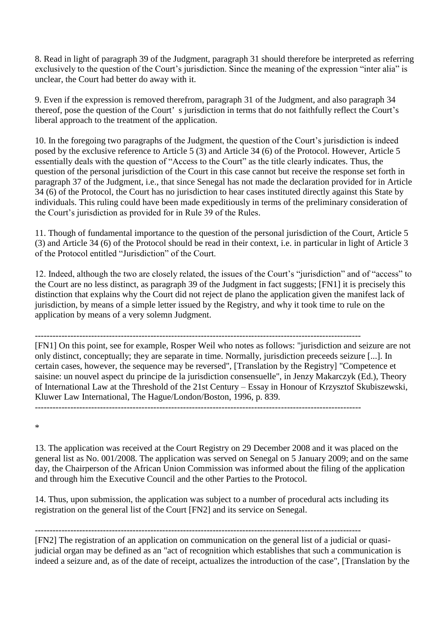8. Read in light of paragraph 39 of the Judgment, paragraph 31 should therefore be interpreted as referring exclusively to the question of the Court's jurisdiction. Since the meaning of the expression "inter alia" is unclear, the Court had better do away with it.

9. Even if the expression is removed therefrom, paragraph 31 of the Judgment, and also paragraph 34 thereof, pose the question of the Court' s jurisdiction in terms that do not faithfully reflect the Court's liberal approach to the treatment of the application.

10. In the foregoing two paragraphs of the Judgment, the question of the Court's jurisdiction is indeed posed by the exclusive reference to Article 5 (3) and Article 34 (6) of the Protocol. However, Article 5 essentially deals with the question of "Access to the Court" as the title clearly indicates. Thus, the question of the personal jurisdiction of the Court in this case cannot but receive the response set forth in paragraph 37 of the Judgment, i.e., that since Senegal has not made the declaration provided for in Article 34 (6) of the Protocol, the Court has no jurisdiction to hear cases instituted directly against this State by individuals. This ruling could have been made expeditiously in terms of the preliminary consideration of the Court's jurisdiction as provided for in Rule 39 of the Rules.

11. Though of fundamental importance to the question of the personal jurisdiction of the Court, Article 5 (3) and Article 34 (6) of the Protocol should be read in their context, i.e. in particular in light of Article 3 of the Protocol entitled "Jurisdiction" of the Court.

12. Indeed, although the two are closely related, the issues of the Court's "jurisdiction" and of "access" to the Court are no less distinct, as paragraph 39 of the Judgment in fact suggests; [FN1] it is precisely this distinction that explains why the Court did not reject de plano the application given the manifest lack of jurisdiction, by means of a simple letter issued by the Registry, and why it took time to rule on the application by means of a very solemn Judgment.

--------------------------------------------------------------------------------------------------------------

[FN1] On this point, see for example, Rosper Weil who notes as follows: "jurisdiction and seizure are not only distinct, conceptually; they are separate in time. Normally, jurisdiction preceeds seizure [...]. In certain cases, however, the sequence may be reversed", [Translation by the Registry] "Competence et saisine: un nouvel aspect du principe de la jurisdiction consensuelle", in Jenzy Makarczyk (Ed.), Theory of International Law at the Threshold of the 21st Century – Essay in Honour of Krzysztof Skubiszewski, Kluwer Law International, The Hague/London/Boston, 1996, p. 839.

--------------------------------------------------------------------------------------------------------------

\*

13. The application was received at the Court Registry on 29 December 2008 and it was placed on the general list as No. 001/2008. The application was served on Senegal on 5 January 2009; and on the same day, the Chairperson of the African Union Commission was informed about the filing of the application and through him the Executive Council and the other Parties to the Protocol.

14. Thus, upon submission, the application was subject to a number of procedural acts including its registration on the general list of the Court [FN2] and its service on Senegal.

--------------------------------------------------------------------------------------------------------------

[FN2] The registration of an application on communication on the general list of a judicial or quasijudicial organ may be defined as an "act of recognition which establishes that such a communication is indeed a seizure and, as of the date of receipt, actualizes the introduction of the case", [Translation by the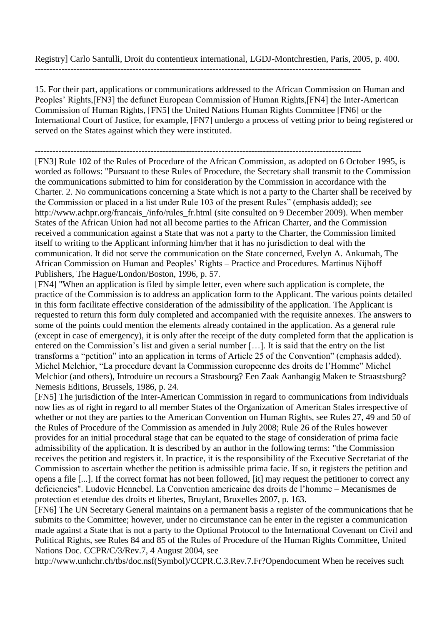Registry] Carlo Santulli, Droit du contentieux international, LGDJ-Montchrestien, Paris, 2005, p. 400.

15. For their part, applications or communications addressed to the African Commission on Human and Peoples' Rights,[FN3] the defunct European Commission of Human Rights,[FN4] the Inter-American Commission of Human Rights, [FN5] the United Nations Human Rights Committee [FN6] or the International Court of Justice, for example, [FN7] undergo a process of vetting prior to being registered or served on the States against which they were instituted.

--------------------------------------------------------------------------------------------------------------

[FN3] Rule 102 of the Rules of Procedure of the African Commission, as adopted on 6 October 1995, is worded as follows: "Pursuant to these Rules of Procedure, the Secretary shall transmit to the Commission the communications submitted to him for consideration by the Commission in accordance with the Charter. 2. No communications concerning a State which is not a party to the Charter shall be received by the Commission or placed in a list under Rule 103 of the present Rules" (emphasis added); see http://www.achpr.org/francais\_/info/rules\_fr.html (site consulted on 9 December 2009). When member States of the African Union had not all become parties to the African Charter, and the Commission received a communication against a State that was not a party to the Charter, the Commission limited itself to writing to the Applicant informing him/her that it has no jurisdiction to deal with the communication. It did not serve the communication on the State concerned, Evelyn A. Ankumah, The African Commission on Human and Peoples' Rights – Practice and Procedures. Martinus Nijhoff Publishers, The Hague/London/Boston, 1996, p. 57.

[FN4] "When an application is filed by simple letter, even where such application is complete, the practice of the Commission is to address an application form to the Applicant. The various points detailed in this form facilitate effective consideration of the admissibility of the application. The Applicant is requested to return this form duly completed and accompanied with the requisite annexes. The answers to some of the points could mention the elements already contained in the application. As a general rule (except in case of emergency), it is only after the receipt of the duty completed form that the application is entered on the Commission's list and given a serial number […]. It is said that the entry on the list transforms a "petition" into an application in terms of Article 25 of the Convention" (emphasis added). Michel Melchior, "La procedure devant la Commission europeenne des droits de l'Homme" Michel Melchior (and others), Introduire un recours a Strasbourg? Een Zaak Aanhangig Maken te Straastsburg? Nemesis Editions, Brussels, 1986, p. 24.

[FN5] The jurisdiction of the Inter-American Commission in regard to communications from individuals now lies as of right in regard to all member States of the Organization of American Stales irrespective of whether or not they are parties to the American Convention on Human Rights, see Rules 27, 49 and 50 of the Rules of Procedure of the Commission as amended in July 2008; Rule 26 of the Rules however provides for an initial procedural stage that can be equated to the stage of consideration of prima facie admissibility of the application. It is described by an author in the following terms: "the Commission receives the petition and registers it. In practice, it is the responsibility of the Executive Secretariat of the Commission to ascertain whether the petition is admissible prima facie. If so, it registers the petition and opens a file [...]. If the correct format has not been followed, [it] may request the petitioner to correct any deficiencies". Ludovic Hennebel. La Convention americaine des droits de l'homme – Mecanismes de protection et etendue des droits et libertes, Bruylant, Bruxelles 2007, p. 163.

[FN6] The UN Secretary General maintains on a permanent basis a register of the communications that he submits to the Committee; however, under no circumstance can he enter in the register a communication made against a State that is not a party to the Optional Protocol to the International Covenant on Civil and Political Rights, see Rules 84 and 85 of the Rules of Procedure of the Human Rights Committee, United Nations Doc. CCPR/C/3/Rev.7, 4 August 2004, see

http://www.unhchr.ch/tbs/doc.nsf(Symbol)/CCPR.C.3.Rev.7.Fr?Opendocument When he receives such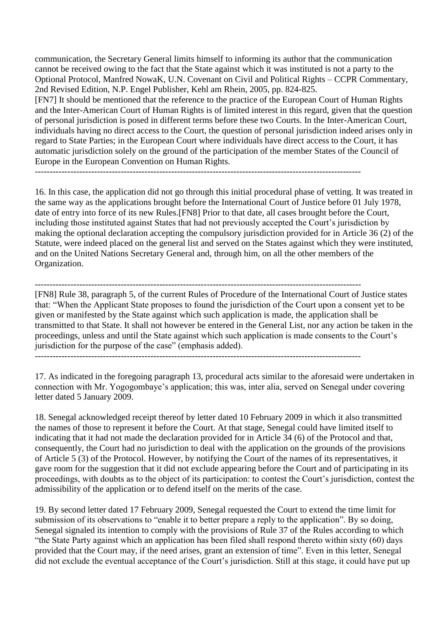communication, the Secretary General limits himself to informing its author that the communication cannot be received owing to the fact that the State against which it was instituted is not a party to the Optional Protocol, Manfred NowaK, U.N. Covenant on Civil and Political Rights – CCPR Commentary, 2nd Revised Edition, N.P. Engel Publisher, Kehl am Rhein, 2005, pp. 824-825.

[FN7] It should be mentioned that the reference to the practice of the European Court of Human Rights and the Inter-American Court of Human Rights is of limited interest in this regard, given that the question of personal jurisdiction is posed in different terms before these two Courts. In the Inter-American Court, individuals having no direct access to the Court, the question of personal jurisdiction indeed arises only in regard to State Parties; in the European Court where individuals have direct access to the Court, it has automatic jurisdiction solely on the ground of the participation of the member States of the Council of Europe in the European Convention on Human Rights.

--------------------------------------------------------------------------------------------------------------

16. In this case, the application did not go through this initial procedural phase of vetting. It was treated in the same way as the applications brought before the International Court of Justice before 01 July 1978, date of entry into force of its new Rules.[FN8] Prior to that date, all cases brought before the Court, including those instituted against States that had not previously accepted the Court's jurisdiction by making the optional declaration accepting the compulsory jurisdiction provided for in Article 36 (2) of the Statute, were indeed placed on the general list and served on the States against which they were instituted, and on the United Nations Secretary General and, through him, on all the other members of the Organization.

-------------------------------------------------------------------------------------------------------------- [FN8] Rule 38, paragraph 5, of the current Rules of Procedure of the International Court of Justice states that: "When the Applicant State proposes to found the jurisdiction of the Court upon a consent yet to be given or manifested by the State against which such application is made, the application shall be transmitted to that State. It shall not however be entered in the General List, nor any action be taken in the proceedings, unless and until the State against which such application is made consents to the Court's jurisdiction for the purpose of the case" (emphasis added).

--------------------------------------------------------------------------------------------------------------

17. As indicated in the foregoing paragraph 13, procedural acts similar to the aforesaid were undertaken in connection with Mr. Yogogombaye's application; this was, inter alia, served on Senegal under covering letter dated 5 January 2009.

18. Senegal acknowledged receipt thereof by letter dated 10 February 2009 in which it also transmitted the names of those to represent it before the Court. At that stage, Senegal could have limited itself to indicating that it had not made the declaration provided for in Article 34 (6) of the Protocol and that, consequently, the Court had no jurisdiction to deal with the application on the grounds of the provisions of Article 5 (3) of the Protocol. However, by notifying the Court of the names of its representatives, it gave room for the suggestion that it did not exclude appearing before the Court and of participating in its proceedings, with doubts as to the object of its participation: to contest the Court's jurisdiction, contest the admissibility of the application or to defend itself on the merits of the case.

19. By second letter dated 17 February 2009, Senegal requested the Court to extend the time limit for submission of its observations to "enable it to better prepare a reply to the application". By so doing, Senegal signaled its intention to comply with the provisions of Rule 37 of the Rules according to which "the State Party against which an application has been filed shall respond thereto within sixty (60) days provided that the Court may, if the need arises, grant an extension of time". Even in this letter, Senegal did not exclude the eventual acceptance of the Court's jurisdiction. Still at this stage, it could have put up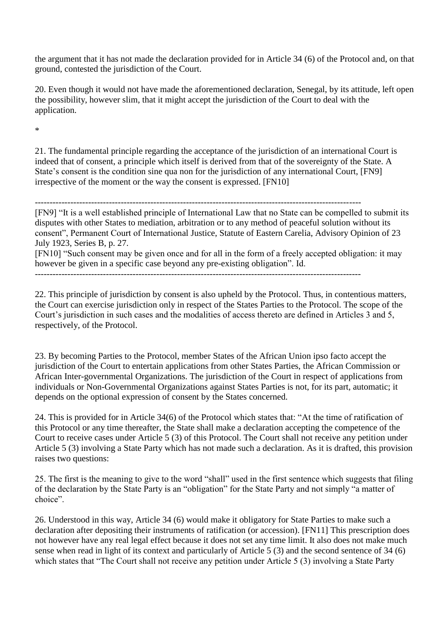the argument that it has not made the declaration provided for in Article 34 (6) of the Protocol and, on that ground, contested the jurisdiction of the Court.

20. Even though it would not have made the aforementioned declaration, Senegal, by its attitude, left open the possibility, however slim, that it might accept the jurisdiction of the Court to deal with the application.

\*

21. The fundamental principle regarding the acceptance of the jurisdiction of an international Court is indeed that of consent, a principle which itself is derived from that of the sovereignty of the State. A State's consent is the condition sine qua non for the jurisdiction of any international Court, [FN9] irrespective of the moment or the way the consent is expressed. [FN10]

--------------------------------------------------------------------------------------------------------------

[FN9] "It is a well established principle of International Law that no State can be compelled to submit its disputes with other States to mediation, arbitration or to any method of peaceful solution without its consent", Permanent Court of International Justice, Statute of Eastern Carelia, Advisory Opinion of 23 July 1923, Series B, p. 27.

[FN10] "Such consent may be given once and for all in the form of a freely accepted obligation: it may however be given in a specific case beyond any pre-existing obligation". Id.

--------------------------------------------------------------------------------------------------------------

22. This principle of jurisdiction by consent is also upheld by the Protocol. Thus, in contentious matters, the Court can exercise jurisdiction only in respect of the States Parties to the Protocol. The scope of the Court's jurisdiction in such cases and the modalities of access thereto are defined in Articles 3 and 5, respectively, of the Protocol.

23. By becoming Parties to the Protocol, member States of the African Union ipso facto accept the jurisdiction of the Court to entertain applications from other States Parties, the African Commission or African Inter-governmental Organizations. The jurisdiction of the Court in respect of applications from individuals or Non-Governmental Organizations against States Parties is not, for its part, automatic; it depends on the optional expression of consent by the States concerned.

24. This is provided for in Article 34(6) of the Protocol which states that: "At the time of ratification of this Protocol or any time thereafter, the State shall make a declaration accepting the competence of the Court to receive cases under Article 5 (3) of this Protocol. The Court shall not receive any petition under Article 5 (3) involving a State Party which has not made such a declaration. As it is drafted, this provision raises two questions:

25. The first is the meaning to give to the word "shall" used in the first sentence which suggests that filing of the declaration by the State Party is an "obligation" for the State Party and not simply "a matter of choice".

26. Understood in this way, Article 34 (6) would make it obligatory for State Parties to make such a declaration after depositing their instruments of ratification (or accession). [FN11] This prescription does not however have any real legal effect because it does not set any time limit. It also does not make much sense when read in light of its context and particularly of Article 5 (3) and the second sentence of 34 (6) which states that "The Court shall not receive any petition under Article 5 (3) involving a State Party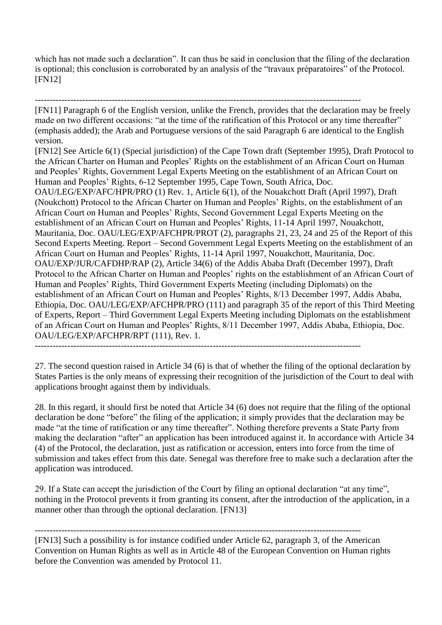which has not made such a declaration". It can thus be said in conclusion that the filing of the declaration is optional; this conclusion is corroborated by an analysis of the "travaux préparatoires" of the Protocol. [FN12]

[FN11] Paragraph 6 of the English version, unlike the French, provides that the declaration may be freely made on two different occasions: "at the time of the ratification of this Protocol or any time thereafter" (emphasis added); the Arab and Portuguese versions of the said Paragraph 6 are identical to the English version.

[FN12] See Article 6(1) (Special jurisdiction) of the Cape Town draft (September 1995), Draft Protocol to the African Charter on Human and Peoples' Rights on the establishment of an African Court on Human and Peoples' Rights, Government Legal Experts Meeting on the establishment of an African Court on Human and Peoples' Rights, 6-12 September 1995, Cape Town, South Africa, Doc. OAU/LEG/EXP/AFC/HPR/PRO (1) Rev. 1, Article 6(1), of the Nouakchott Draft (April 1997), Draft (Noukchott) Protocol to the African Charter on Human and Peoples' Rights, on the establishment of an African Court on Human and Peoples' Rights, Second Government Legal Experts Meeting on the establishment of an African Court on Human and Peoples' Rights, 11-14 April 1997, Nouakchott, Mauritania, Doc. OAU/LEG/EXP/AFCHPR/PROT (2), paragraphs 21, 23, 24 and 25 of the Report of this Second Experts Meeting. Report – Second Government Legal Experts Meeting on the establishment of an African Court on Human and Peoples' Rights, 11-14 April 1997, Nouakchott, Mauritania, Doc. OAU/EXP/JUR/CAFDHP/RAP (2), Article 34(6) of the Addis Ababa Draft (December 1997), Draft Protocol to the African Charter on Human and Peoples' rights on the establishment of an African Court of Human and Peoples' Rights, Third Government Experts Meeting (including Diplomats) on the establishment of an African Court on Human and Peoples' Rights, 8/13 December 1997, Addis Ababa, Ethiopia, Doc. OAU/LEG/EXP/AFCHPR/PRO (111) and paragraph 35 of the report of this Third Meeting of Experts, Report – Third Government Legal Experts Meeting including Diplomats on the establishment of an African Court on Human and Peoples' Rights, 8/11 December 1997, Addis Ababa, Ethiopia, Doc. OAU/LEG/EXP/AFCHPR/RPT (111), Rev. 1.

--------------------------------------------------------------------------------------------------------------

27. The second question raised in Article 34 (6) is that of whether the filing of the optional declaration by States Parties is the only means of expressing their recognition of the jurisdiction of the Court to deal with applications brought against them by individuals.

28. In this regard, it should first be noted that Article 34 (6) does not require that the filing of the optional declaration be done "before" the filing of the application; it simply provides that the declaration may be made "at the time of ratification or any time thereafter". Nothing therefore prevents a State Party from making the declaration "after" an application has been introduced against it. In accordance with Article 34 (4) of the Protocol, the declaration, just as ratification or accession, enters into force from the time of submission and takes effect from this date. Senegal was therefore free to make such a declaration after the application was introduced.

29. If a State can accept the jurisdiction of the Court by filing an optional declaration "at any time", nothing in the Protocol prevents it from granting its consent, after the introduction of the application, in a manner other than through the optional declaration. [FN13]

--------------------------------------------------------------------------------------------------------------

[FN13] Such a possibility is for instance codified under Article 62, paragraph 3, of the American Convention on Human Rights as well as in Article 48 of the European Convention on Human rights before the Convention was amended by Protocol 11.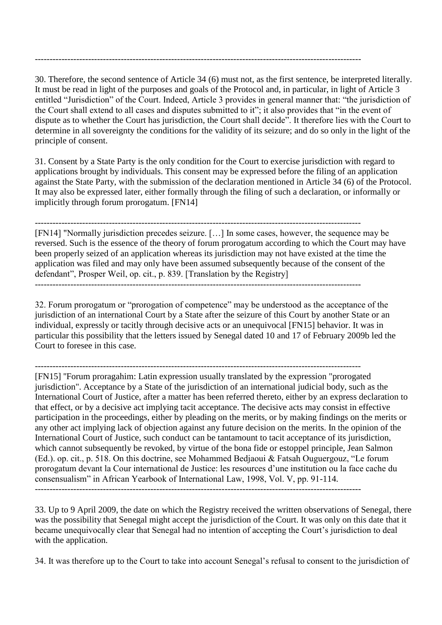30. Therefore, the second sentence of Article 34 (6) must not, as the first sentence, be interpreted literally. It must be read in light of the purposes and goals of the Protocol and, in particular, in light of Article 3 entitled "Jurisdiction" of the Court. Indeed, Article 3 provides in general manner that: "the jurisdiction of the Court shall extend to all cases and disputes submitted to it"; it also provides that "in the event of dispute as to whether the Court has jurisdiction, the Court shall decide". It therefore lies with the Court to determine in all sovereignty the conditions for the validity of its seizure; and do so only in the light of the principle of consent.

--------------------------------------------------------------------------------------------------------------

31. Consent by a State Party is the only condition for the Court to exercise jurisdiction with regard to applications brought by individuals. This consent may be expressed before the filing of an application against the State Party, with the submission of the declaration mentioned in Article 34 (6) of the Protocol. It may also be expressed later, either formally through the filing of such a declaration, or informally or implicitly through forum prorogatum. [FN14]

-------------------------------------------------------------------------------------------------------------- [FN14] "Normally jurisdiction precedes seizure. […] In some cases, however, the sequence may be reversed. Such is the essence of the theory of forum prorogatum according to which the Court may have been properly seized of an application whereas its jurisdiction may not have existed at the time the application was filed and may only have been assumed subsequently because of the consent of the defendant", Prosper Weil, op. cit., p. 839. [Translation by the Registry] --------------------------------------------------------------------------------------------------------------

32. Forum prorogatum or "prorogation of competence" may be understood as the acceptance of the jurisdiction of an international Court by a State after the seizure of this Court by another State or an individual, expressly or tacitly through decisive acts or an unequivocal [FN15] behavior. It was in particular this possibility that the letters issued by Senegal dated 10 and 17 of February 2009b led the Court to foresee in this case.

[FN15] ''Forum proragahim: Latin expression usually translated by the expression "prorogated jurisdiction". Acceptance by a State of the jurisdiction of an international judicial body, such as the International Court of Justice, after a matter has been referred thereto, either by an express declaration to that effect, or by a decisive act implying tacit acceptance. The decisive acts may consist in effective participation in the proceedings, either by pleading on the merits, or by making findings on the merits or any other act implying lack of objection against any future decision on the merits. In the opinion of the International Court of Justice, such conduct can be tantamount to tacit acceptance of its jurisdiction, which cannot subsequently be revoked, by virtue of the bona fide or estoppel principle, Jean Salmon (Ed.). op. cit., p. 518. On this doctrine, see Mohammed Bedjaoui & Fatsah Ouguergouz, "Le forum prorogatum devant la Cour international de Justice: les resources d'une institution ou la face cache du consensualism" in African Yearbook of International Law, 1998, Vol. V, pp. 91-114.

--------------------------------------------------------------------------------------------------------------

33. Up to 9 April 2009, the date on which the Registry received the written observations of Senegal, there was the possibility that Senegal might accept the jurisdiction of the Court. It was only on this date that it became unequivocally clear that Senegal had no intention of accepting the Court's jurisdiction to deal with the application.

34. It was therefore up to the Court to take into account Senegal's refusal to consent to the jurisdiction of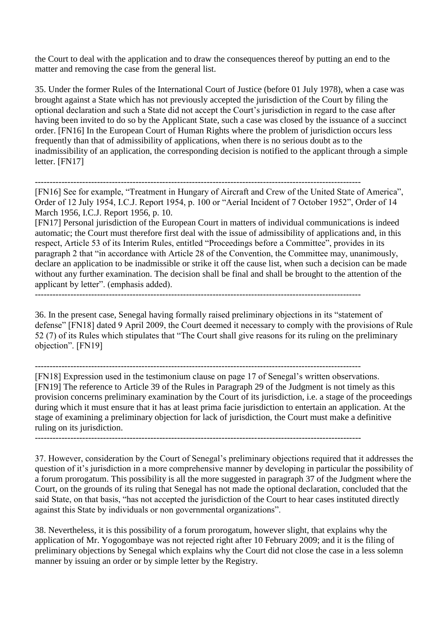the Court to deal with the application and to draw the consequences thereof by putting an end to the matter and removing the case from the general list.

35. Under the former Rules of the International Court of Justice (before 01 July 1978), when a case was brought against a State which has not previously accepted the jurisdiction of the Court by filing the optional declaration and such a State did not accept the Court's jurisdiction in regard to the case after having been invited to do so by the Applicant State, such a case was closed by the issuance of a succinct order. [FN16] In the European Court of Human Rights where the problem of jurisdiction occurs less frequently than that of admissibility of applications, when there is no serious doubt as to the inadmissibility of an application, the corresponding decision is notified to the applicant through a simple letter. [FN17]

--------------------------------------------------------------------------------------------------------------

[FN16] See for example, "Treatment in Hungary of Aircraft and Crew of the United State of America", Order of 12 July 1954, I.C.J. Report 1954, p. 100 or "Aerial Incident of 7 October 1952", Order of 14 March 1956, I.C.J. Report 1956, p. 10.

[FN17] Personal jurisdiction of the European Court in matters of individual communications is indeed automatic; the Court must therefore first deal with the issue of admissibility of applications and, in this respect, Article 53 of its Interim Rules, entitled "Proceedings before a Committee", provides in its paragraph 2 that "in accordance with Article 28 of the Convention, the Committee may, unanimously, declare an application to be inadmissible or strike it off the cause list, when such a decision can be made without any further examination. The decision shall be final and shall be brought to the attention of the applicant by letter". (emphasis added).

--------------------------------------------------------------------------------------------------------------

36. In the present case, Senegal having formally raised preliminary objections in its "statement of defense" [FN18] dated 9 April 2009, the Court deemed it necessary to comply with the provisions of Rule 52 (7) of its Rules which stipulates that "The Court shall give reasons for its ruling on the preliminary objection". [FN19]

--------------------------------------------------------------------------------------------------------------

[FN18] Expression used in the testimonium clause on page 17 of Senegal's written observations. [FN19] The reference to Article 39 of the Rules in Paragraph 29 of the Judgment is not timely as this provision concerns preliminary examination by the Court of its jurisdiction, i.e. a stage of the proceedings during which it must ensure that it has at least prima facie jurisdiction to entertain an application. At the stage of examining a preliminary objection for lack of jurisdiction, the Court must make a definitive ruling on its jurisdiction.

--------------------------------------------------------------------------------------------------------------

37. However, consideration by the Court of Senegal's preliminary objections required that it addresses the question of it's jurisdiction in a more comprehensive manner by developing in particular the possibility of a forum prorogatum. This possibility is all the more suggested in paragraph 37 of the Judgment where the Court, on the grounds of its ruling that Senegal has not made the optional declaration, concluded that the said State, on that basis, "has not accepted the jurisdiction of the Court to hear cases instituted directly against this State by individuals or non governmental organizations".

38. Nevertheless, it is this possibility of a forum prorogatum, however slight, that explains why the application of Mr. Yogogombaye was not rejected right after 10 February 2009; and it is the filing of preliminary objections by Senegal which explains why the Court did not close the case in a less solemn manner by issuing an order or by simple letter by the Registry.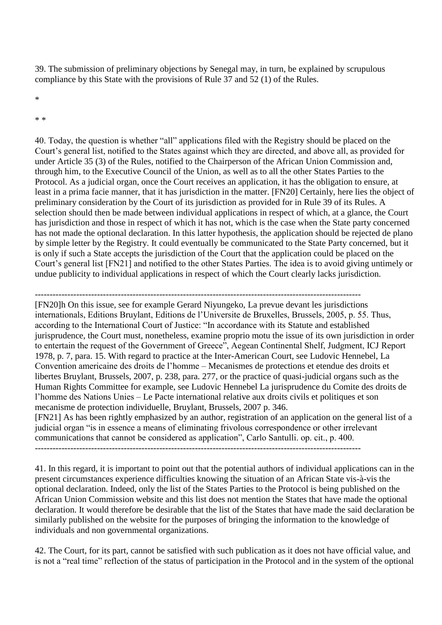39. The submission of preliminary objections by Senegal may, in turn, be explained by scrupulous compliance by this State with the provisions of Rule 37 and 52 (1) of the Rules.

\*

\* \*

40. Today, the question is whether "all" applications filed with the Registry should be placed on the Court's general list, notified to the States against which they are directed, and above all, as provided for under Article 35 (3) of the Rules, notified to the Chairperson of the African Union Commission and, through him, to the Executive Council of the Union, as well as to all the other States Parties to the Protocol. As a judicial organ, once the Court receives an application, it has the obligation to ensure, at least in a prima facie manner, that it has jurisdiction in the matter. [FN20] Certainly, here lies the object of preliminary consideration by the Court of its jurisdiction as provided for in Rule 39 of its Rules. A selection should then be made between individual applications in respect of which, at a glance, the Court has jurisdiction and those in respect of which it has not, which is the case when the State party concerned has not made the optional declaration. In this latter hypothesis, the application should be rejected de plano by simple letter by the Registry. It could eventually be communicated to the State Party concerned, but it is only if such a State accepts the jurisdiction of the Court that the application could be placed on the Court's general list [FN21] and notified to the other States Parties. The idea is to avoid giving untimely or undue publicity to individual applications in respect of which the Court clearly lacks jurisdiction.

-------------------------------------------------------------------------------------------------------------- [FN20]h On this issue, see for example Gerard Niyungeko, La prevue devant les jurisdictions internationals, Editions Bruylant, Editions de l'Universite de Bruxelles, Brussels, 2005, p. 55. Thus, according to the International Court of Justice: "In accordance with its Statute and established jurisprudence, the Court must, nonetheless, examine proprio motu the issue of its own jurisdiction in order to entertain the request of the Government of Greece", Aegean Continental Shelf, Judgment, ICJ Report 1978, p. 7, para. 15. With regard to practice at the Inter-American Court, see Ludovic Hennebel, La Convention americaine des droits de l'homme – Mecanismes de protections et etendue des droits et libertes Bruylant, Brussels, 2007, p. 238, para. 277, or the practice of quasi-judicial organs such as the Human Rights Committee for example, see Ludovic Hennebel La jurisprudence du Comite des droits de l'homme des Nations Unies – Le Pacte international relative aux droits civils et politiques et son mecanisme de protection individuelle, Bruylant, Brussels, 2007 p. 346. [FN21] As has been rightly emphasized by an author, registration of an application on the general list of a

judicial organ "is in essence a means of eliminating frivolous correspondence or other irrelevant communications that cannot be considered as application", Carlo Santulli. op. cit., p. 400. --------------------------------------------------------------------------------------------------------------

41. In this regard, it is important to point out that the potential authors of individual applications can in the present circumstances experience difficulties knowing the situation of an African State vis-à-vis the optional declaration. Indeed, only the list of the States Parties to the Protocol is being published on the African Union Commission website and this list does not mention the States that have made the optional declaration. It would therefore be desirable that the list of the States that have made the said declaration be similarly published on the website for the purposes of bringing the information to the knowledge of individuals and non governmental organizations.

42. The Court, for its part, cannot be satisfied with such publication as it does not have official value, and is not a "real time" reflection of the status of participation in the Protocol and in the system of the optional